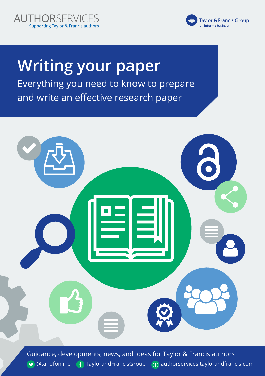



# **Writing your paper**  Everything you need to know to prepare and write an effective research paper



Guidance, developments, news, and ideas for Taylor & Francis authors  $\bullet$  [@tandfonline](https://twitter.com/tandfonline)  $\bullet$  [TaylorandFrancisGroup](https://www.facebook.com/TaylorandFrancisGroup/)  $\bullet$  [authorservices.taylorandfrancis.com](https://authorservices.taylorandfrancis.com/)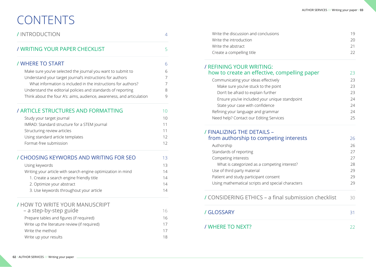# CONTENTS

| Make sure you've selected the journal you want to submit to<br>Understand your target journal's instructions for authors<br>What information is included in the instructions for authors?<br>Understand the editorial policies and standards of reporting<br>Think about the four A's: aims, audience, awareness, and articulation<br>Study your target journal<br>IMRAD: Standard structure for a STEM journal<br>Structuring review articles<br>Using standard article templates<br>Format-free submission<br>Using keywords<br>Writing your article with search engine optimization in mind<br>1. Create a search engine friendly title<br>2. Optimize your abstract<br>3. Use keywords throughout your article<br>/ HOW TO WRITE YOUR MANUSCRIPT<br>– a step-by-step guide<br>Prepare tables and figures (if required)<br>Write up the literature review (if required)<br>Write the method | / INTRODUCTION                          |    |
|------------------------------------------------------------------------------------------------------------------------------------------------------------------------------------------------------------------------------------------------------------------------------------------------------------------------------------------------------------------------------------------------------------------------------------------------------------------------------------------------------------------------------------------------------------------------------------------------------------------------------------------------------------------------------------------------------------------------------------------------------------------------------------------------------------------------------------------------------------------------------------------------|-----------------------------------------|----|
|                                                                                                                                                                                                                                                                                                                                                                                                                                                                                                                                                                                                                                                                                                                                                                                                                                                                                                | / WRITING YOUR PAPER CHECKLIST          | 5  |
|                                                                                                                                                                                                                                                                                                                                                                                                                                                                                                                                                                                                                                                                                                                                                                                                                                                                                                | / WHERE TO START                        | 6  |
|                                                                                                                                                                                                                                                                                                                                                                                                                                                                                                                                                                                                                                                                                                                                                                                                                                                                                                |                                         | 6  |
|                                                                                                                                                                                                                                                                                                                                                                                                                                                                                                                                                                                                                                                                                                                                                                                                                                                                                                |                                         | 7  |
|                                                                                                                                                                                                                                                                                                                                                                                                                                                                                                                                                                                                                                                                                                                                                                                                                                                                                                |                                         | 7  |
|                                                                                                                                                                                                                                                                                                                                                                                                                                                                                                                                                                                                                                                                                                                                                                                                                                                                                                |                                         | 8  |
|                                                                                                                                                                                                                                                                                                                                                                                                                                                                                                                                                                                                                                                                                                                                                                                                                                                                                                |                                         | 9  |
|                                                                                                                                                                                                                                                                                                                                                                                                                                                                                                                                                                                                                                                                                                                                                                                                                                                                                                | / ARTICLE STRUCTURES AND FORMATTING     | 10 |
|                                                                                                                                                                                                                                                                                                                                                                                                                                                                                                                                                                                                                                                                                                                                                                                                                                                                                                |                                         | 10 |
|                                                                                                                                                                                                                                                                                                                                                                                                                                                                                                                                                                                                                                                                                                                                                                                                                                                                                                |                                         | 11 |
|                                                                                                                                                                                                                                                                                                                                                                                                                                                                                                                                                                                                                                                                                                                                                                                                                                                                                                |                                         | 11 |
|                                                                                                                                                                                                                                                                                                                                                                                                                                                                                                                                                                                                                                                                                                                                                                                                                                                                                                |                                         | 12 |
|                                                                                                                                                                                                                                                                                                                                                                                                                                                                                                                                                                                                                                                                                                                                                                                                                                                                                                |                                         | 12 |
|                                                                                                                                                                                                                                                                                                                                                                                                                                                                                                                                                                                                                                                                                                                                                                                                                                                                                                | / CHOOSING KEYWORDS AND WRITING FOR SEO | 13 |
|                                                                                                                                                                                                                                                                                                                                                                                                                                                                                                                                                                                                                                                                                                                                                                                                                                                                                                |                                         | 13 |
|                                                                                                                                                                                                                                                                                                                                                                                                                                                                                                                                                                                                                                                                                                                                                                                                                                                                                                |                                         | 14 |
|                                                                                                                                                                                                                                                                                                                                                                                                                                                                                                                                                                                                                                                                                                                                                                                                                                                                                                |                                         | 14 |
|                                                                                                                                                                                                                                                                                                                                                                                                                                                                                                                                                                                                                                                                                                                                                                                                                                                                                                |                                         | 14 |
|                                                                                                                                                                                                                                                                                                                                                                                                                                                                                                                                                                                                                                                                                                                                                                                                                                                                                                |                                         | 14 |
|                                                                                                                                                                                                                                                                                                                                                                                                                                                                                                                                                                                                                                                                                                                                                                                                                                                                                                |                                         |    |
|                                                                                                                                                                                                                                                                                                                                                                                                                                                                                                                                                                                                                                                                                                                                                                                                                                                                                                |                                         | 16 |
|                                                                                                                                                                                                                                                                                                                                                                                                                                                                                                                                                                                                                                                                                                                                                                                                                                                                                                |                                         | 16 |
|                                                                                                                                                                                                                                                                                                                                                                                                                                                                                                                                                                                                                                                                                                                                                                                                                                                                                                |                                         | 17 |
|                                                                                                                                                                                                                                                                                                                                                                                                                                                                                                                                                                                                                                                                                                                                                                                                                                                                                                |                                         | 17 |
|                                                                                                                                                                                                                                                                                                                                                                                                                                                                                                                                                                                                                                                                                                                                                                                                                                                                                                | Write up your results                   | 18 |

| Write the discussion and conclusions | 19 |
|--------------------------------------|----|
| Write the introduction               | 20 |
| Write the abstract                   |    |
| Create a compelling title            |    |
|                                      |    |

| / REFINING YOUR WRITING:                      |    |
|-----------------------------------------------|----|
| how to create an effective, compelling paper  | 23 |
| Communicating your ideas effectively          | 23 |
| Make sure you've stuck to the point           | 23 |
| Don't be afraid to explain further            | 23 |
| Ensure you've included your unique standpoint | 24 |
| State your case with confidence               | 24 |
| Refining your language and grammar            | 24 |
| Need help? Contact our Editing Services       | 25 |

| from authorship to competing interests            | 26 |
|---------------------------------------------------|----|
| Authorship                                        | 26 |
| Standards of reporting                            | 27 |
| Competing interests                               | 27 |
| What is categorized as a competing interest?      | 28 |
| Use of third party material                       | 29 |
| Patient and study participant consent             | 29 |
| Using mathematical scripts and special characters | 29 |

| / CONSIDERING ETHICS – a final submission checklist |  |
|-----------------------------------------------------|--|
| / GLOSSARY                                          |  |
| / WHERE TO NEXT?                                    |  |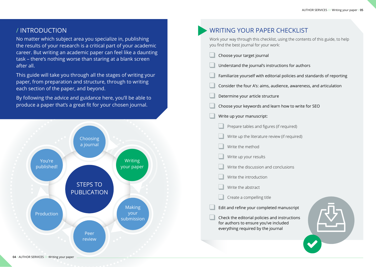### / INTRODUCTION

No matter which subject area you specialize in, publishing the results of your research is a critical part of your academic career. But writing an academic paper can feel like a daunting task – there's nothing worse than staring at a blank screen after all.

This guide will take you through all the stages of writing your paper, from preparation and structure, through to writing each section of the paper, and beyond.

By following the advice and guidance here, you'll be able to produce a paper that's a great fit for your chosen journal.



| <b>WRITING YOUR PAPER CHECKLIST</b>                                                                                          |
|------------------------------------------------------------------------------------------------------------------------------|
| Work your way through this checklist, using the contents of this guide, to help<br>you find the best journal for your work:  |
| Choose your target journal                                                                                                   |
| Understand the journal's instructions for authors                                                                            |
| Familiarize yourself with editorial policies and standards of reporting                                                      |
| Consider the four A's: aims, audience, awareness, and articulation                                                           |
| Determine your article structure                                                                                             |
| Choose your keywords and learn how to write for SEO                                                                          |
| Write up your manuscript:                                                                                                    |
| Prepare tables and figures (if required)                                                                                     |
| Write up the literature review (if required)                                                                                 |
| Write the method                                                                                                             |
| Write up your results                                                                                                        |
| Write the discussion and conclusions                                                                                         |
| Write the introduction                                                                                                       |
| Write the abstract                                                                                                           |
| Create a compelling title                                                                                                    |
| Edit and refine your completed manuscript                                                                                    |
| Check the editorial policies and instructions<br>for authors to ensure you've included<br>everything required by the journal |
|                                                                                                                              |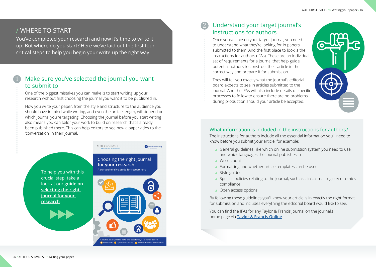### / WHERE TO START

You've completed your research and now it's time to write it up. But where do you start? Here we've laid out the first four critical steps to help you begin your write-up the right way.

## Make sure you've selected the journal you want to submit to

One of the biggest mistakes you can make is to start writing up your research without first choosing the journal you want it to be published in.

How you write your paper, from the style and structure to the audience you should have in mind while writing, and even the article length, will depend on which journal you're targeting. Choosing the journal before you start writing also means you can tailor your work to build on research that's already been published there. This can help editors to see how a paper adds to the 'conversation' in their journal.



### Understand your target journal's instructions for authors 2

Once you've chosen your target journal, you need to understand what they're looking for in papers submitted to them. And the first place to look is the instructions for authors (IFAs). These are an individual set of requirements for a journal that help guide potential authors to construct their article in the correct way and prepare it for submission.

They will tell you exactly what the journal's editorial board expects to see in articles submitted to the journal. And the IFAs will also include details of specific processes to follow to ensure there are no problems during production should your article be accepted.



### What information is included in the instructions for authors?

The instructions for authors include all the essential information you'll need to know before you submit your article, for example:

- General guidelines, like which online submission system you need to use, and which languages the journal publishes in
- Word count
- Formatting and whether article templates can be used
- Style guides
- Specific policies relating to the journal, such as clinical trial registry or ethics compliance
- Open access options

By following these guidelines you'll know your article is in exactly the right format for submission and includes everything the editorial board would like to see.

You can find the IFAs for any Taylor & Francis journal on the journal's home page via **[Taylor & Francis Online](https://www.tandfonline.com/)**.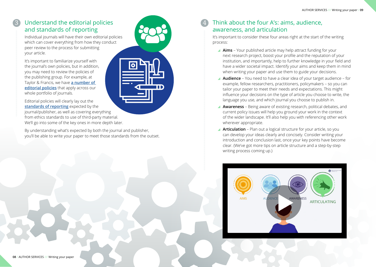## 3 Understand the editorial policies and standards of reporting

Individual journals will have their own editorial policies which can cover everything from how they conduct peer review to the process for submitting your article.

It's important to familiarize yourself with the journal's own policies, but in addition, you may need to review the policies of the publishing group. For example, at Taylor & Francis, we have **[a number of](https://authorservices.taylorandfrancis.com/editorial-policies/)  [editorial policies](https://authorservices.taylorandfrancis.com/editorial-policies/)** that apply across our whole portfolio of journals.



By understanding what's expected by both the journal and publisher, you'll be able to write your paper to meet those standards from the outset.

### 4 Think about the four A's: aims, audience, awareness, and articulation

It's important to consider these four areas right at the start of the writing process:

- **Aims** Your published article may help attract funding for your next research project, boost your profile and the reputation of your institution, and importantly, help to further knowledge in your field and have a wider societal impact. Identify your aims and keep them in mind when writing your paper and use them to guide your decisions.
- **Audience** You need to have a clear idea of your target audience for example, fellow researchers, practitioners, policymakers – so you can tailor your paper to meet their needs and expectations. This might influence your decisions on the type of article you choose to write, the language you use, and which journal you choose to publish in.
- **Awareness** Being aware of existing research, political debates, and current policy issues will help you ground your work in the context of the wider landscape. It'll also help you with referencing other work wherever appropriate.
- **Articulation** Plan out a logical structure for your article, so you can develop your ideas clearly and concisely. Consider writing your introduction and conclusion last, once your key points have become clear. (We've got more tips on article structure and a step-by-step writing process coming up.)

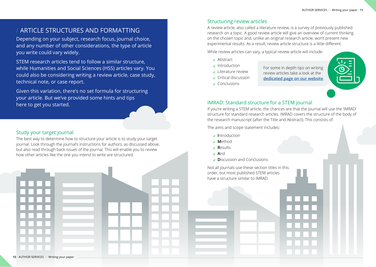### ARTICLE STRUCTURES AND FORMATTING

Depending on your subject, research focus, journal choice, and any number of other considerations, the type of article you write could vary widely.

STEM research articles tend to follow a similar structure, while Humanities and Social Sciences (HSS) articles vary. You could also be considering writing a review article, case study, technical note, or case report.

Given this variation, there's no set formula for structuring your article. But we've provided some hints and tips here to get you started. The intervention of the standard structure for a STEM journal

### Study your target journal

The best way to determine how to structure your article is to study your target journal. Look through the journal's instructions for authors, as discussed above, but also read through back issues of the journal. This will enable you to review how other articles like the one you intend to write are structured.

### Structuring review articles

A review article, also called a literature review, is a survey of previously published research on a topic. A good review article will give an overview of current thinking on the chosen topic and, unlike an original research article, won't present new experimental results. As a result, review article structure is a little different.

While review articles can vary, a typical review article will include:

- Abstract
- Introduction
- Literature review
- Critical discussion

For some in depth tips on writing review articles take a look at the **[dedicated page on our website](https://authorservices.taylorandfrancis.com/publishing-your-research/writing-your-paper/how-to-write-review-article/)**.

Conclusions



If you're writing a STEM article, the chances are that the journal will use the 'IMRAD' structure for standard research articles. IMRAD covers the structure of the body of the research manuscript (after the Title and Abstract). This consists of:

The aims and scope statement includes:

- **I**ntroduction
- **M**ethod
- **R**esults
- **A**nd
- **D**iscussion and Conclusions

Not all journals use these section titles in this order, but most published STEM articles have a structure similar to IMRAD.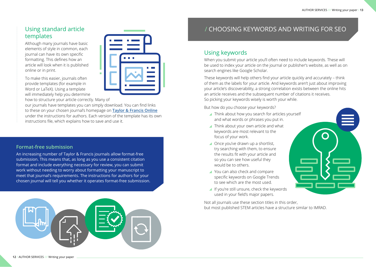## Using standard article templates

Although many journals have basic elements of style in common, each journal can have its own specific formatting. This defines how an article will look when it is published online or in print.

To make this easier, journals often provide templates (for example in Word or LaTeX). Using a template will immediately help you determine how to structure your article correctly. Many of



our journals have templates you can simply download. You can find links to these on your chosen journal's homepage on **[Taylor & Francis Online](https://www.tandfonline.com/)** under the instructions for authors. Each version of the template has its own instructions file, which explains how to save and use it.

### **Format-free submission**

An increasing number of Taylor & Francis journals allow format-free submission. This means that, as long as you use a consistent citation format and include everything necessary for review, you can submit work without needing to worry about formatting your manuscript to meet that journal's requirements. The instructions for authors for your chosen journal will tell you whether it operates format-free submission.



## / CHOOSING KEYWORDS AND WRITING FOR SEO

## Using keywords

When you submit your article you'll often need to include keywords. These will be used to index your article on the journal or publisher's website, as well as on search engines like Google Scholar.

These keywords will help others find your article quickly and accurately – think of them as the labels for your article. And keywords aren't just about improving your article's discoverability, a strong correlation exists between the online hits an article receives and the subsequent number of citations it receives. So picking your keywords wisely is worth your while.

But how do you choose your keywords?

- ▲ Think about how you search for articles yourself and what words or phrases you put in.
- ▲ Think about your own article and what keywords are most relevant to the focus of your work.
- Once you've drawn up a shortlist, try searching with them, to ensure the results fit with your article and so you can see how useful they would be to others.
- ▲ You can also check and compare specific keywords on Google Trends to see which are the most used.
- If you're still unsure, check the keywords used in your field's major papers.

Not all journals use these section titles in this order, but most published STEM articles have a structure similar to IMRAD.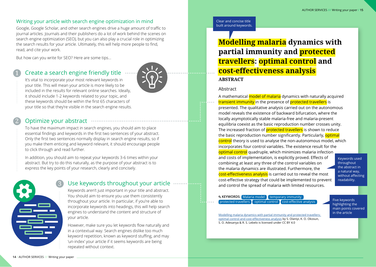### Writing your article with search engine optimization in mind

Google, Google Scholar, and other search engines drive a huge amount of traffic to journal articles. Journals and their publishers do a lot of work behind the scenes on search engine optimization (SEO), but you can also play a crucial role in optimizing the search results for your article. Ultimately, this will help more people to find, read, and cite your work.

But how can you write for SEO? Here are some tips...

### Create a search engine friendly title



It's vital to incorporate your most relevant keywords in your title. This will mean your article is more likely to be included in the results for relevant online searches. Ideally, it should include 1-2 keywords related to your topic, and these keywords should be within the first 65 characters of your title so that they're visible in the search engine results.

## 2

### Optimize your abstract

To have the maximum impact in search engines, you should aim to place essential findings and keywords in the first two sentences of your abstract. Only the first two sentences normally display in search engine results, so if you make them enticing and keyword relevant, it should encourage people to click through and read further.

In addition, you should aim to repeat your keywords 3-6 times within your abstract. But try to do this naturally, as the purpose of your abstract is to express the key points of your research, clearly and concisely.



### Use keywords throughout your article

Keywords aren't just important in your title and abstract. You should aim to ensure you use them consistently throughout your article. In particular, if you're able to incorporate keywords into headings, this will help search engines to understand the content and structure of your article.

However, make sure you let keywords flow naturally and in a contextual way. Search engines dislike too much keyword repetition, known as keyword stuffing, and may 'un-index' your article if it seems keywords are being repeated without context.

Clear and concise title built around keywords.

## **Modelling malaria dynamics with partial immunity and protected travellers: optimal control and cost-effectiveness analysis ABSTRACT**

### Abstract

A mathematical model of malaria dynamics with naturally acquired transient immunity in the presence of protected travellers is presented. The qualitative analysis carried out on the autonomous model reveals the existence of backward bifurcation, where the locally asymptotically stable malaria-free and malaria-present equilibria coexist as the basic reproduction number crosses unity. The increased fraction of **protected travellers** is shown to reduce the basic reproduction number significantly. Particularly, optimal control theory is used to analyse the non-autonomous model, which incorporates four control variables. The existence result for the optimal control quadruple, which minimizes malaria infection and costs of implementation, is explicitly proved. Effects of combining at least any three of the control variables on the malaria dynamics are illustrated. Furthermore, the cost-effectiveness analysis is carried out to reveal the most cost-effective strategy that could be implemented to prevent and control the spread of malaria with limited resources.

Keywords used throughout the abstract in a natural way, without affecting readability.

### **Q KEYWORDS:** Malaria model temporary immunity protected travellers  $\Gamma$  optimal control  $\Gamma$  cost-effective analy

Five keywords highlighting the main points covered in the article

Modelling malaria dynamics with partial immunity and protected travellers: optimal control and cost-effectiveness analysis by S. Olaniyi, K. O. Okosun, S. O. Adesanya & R. S. Lebelo is licensed under CC BY 4.0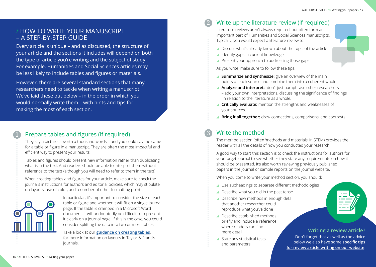## / HOW TO WRITE YOUR MANUSCRIPT – A STEP-BY-STEP GUIDE

Every article is unique – and as discussed, the structure of your article and the sections it includes will depend on both the type of article you're writing and the subject of study. For example, Humanities and Social Sciences articles may be less likely to include tables and figures or materials.

However, there are several standard sections that many researchers need to tackle when writing a manuscript. We've laid these out below – in the order in which you would normally write them – with hints and tips for making the most of each section.

## Prepare tables and figures (if required)

They say a picture is worth a thousand words – and you could say the same for a table or figure in a manuscript. They are often the most impactful and efficient way to present your results.

Tables and figures should present new information rather than duplicating what is in the text. And readers should be able to interpret them without reference to the text (although you will need to refer to them in the text).

When creating tables and figures for your article, make sure to check the journal's instructions for authors and editorial policies, which may stipulate on layouts, use of color, and a number of other formatting points.



In particular, it's important to consider the size of each table or figure and whether it will fit on a single journal page. If the table is cramped in a Microsoft Word document, it will undoubtedly be difficult to represent it clearly on a journal page. If this is the case, you could consider splitting the data into two or more tables.

Take a look at our **[guidance on creating tables](https://authorservices.taylorandfrancis.com/publishing-your-research/writing-your-paper/including-tables-in-your-article/)**, for more information on layouts in Taylor & Francis journals.

## Write up the literature review (if required)

Literature reviews aren't always required, but often form an important part of Humanities and Social Sciences manuscripts. Typically, you would expect a literature review to:

- ▲ Discuss what's already known about the topic of the article
- I Identify gaps in current knowledge

2

Present your approach to addressing those gaps

As you write, make sure to follow these tips:

- **Summarize and synthesize:** give an overview of the main points of each source and combine them into a coherent whole.
- **Analyze and interpret:** don't just paraphrase other researchers – add your own interpretations, discussing the significance of findings in relation to the literature as a whole.
- **Critically evaluate:** mention the strengths and weaknesses of your sources.
- **Bring it all together:** draw connections, comparisons, and contrasts.

### Write the method 3

The method section (often 'methods and materials' in STEM) provides the reader with all the details of how you conducted your research.

A good way to start this section is to check the instructions for authors for your target journal to see whether they state any requirements on how it should be presented. It's also worth reviewing previously published papers in the journal or sample reports on the journal website.

When you come to write your method section, you should:

- Use subheadings to separate different methodologies
- Describe what you did in the past tense
- ▲ Describe new methods in enough detail that another researcher could reproduce what you've done
- Describe established methods briefly and include a reference where readers can find more detail
- ▲ State any statistical tests and parameters



**Writing a review article?** Don't forget that as well as the advice below we also have some **[specific tips](https://authorservices.taylorandfrancis.com/publishing-your-research/writing-your-paper/how-to-write-review-article/) [for review article writing on our website](https://authorservices.taylorandfrancis.com/publishing-your-research/writing-your-paper/how-to-write-review-article/)**.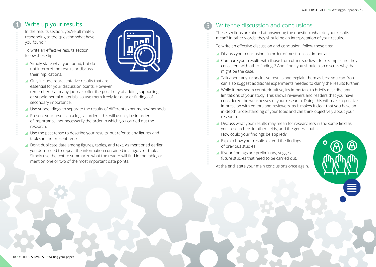In the results section, you're ultimately responding to the question 'what have you found?'

To write an effective results section, follow these tips:

Simply state what you found, but do not interpret the results or discuss their implications.



▲ Only include representative results that are essential for your discussion points. However,

remember that many journals offer the possibility of adding supporting or supplemental materials, so use them freely for data or findings of secondary importance.

- ▲ Use subheadings to separate the results of different experiments/methods.
- ▲ Present your results in a logical order this will usually be in order of importance, not necessarily the order in which you carried out the research.
- ▲ Use the past tense to describe your results, but refer to any figures and tables in the present tense.
- ▲ Don't duplicate data among figures, tables, and text. As mentioned earlier, you don't need to repeat the information contained in a figure or table. Simply use the text to summarize what the reader will find in the table, or mention one or two of the most important data points.

## Write the discussion and conclusions

These sections are aimed at answering the question: what do your results mean? In other words, they should be an interpretation of your results.

To write an effective discussion and conclusion, follow these tips:

- ▲ Discuss your conclusions in order of most to least important.
- ▲ Compare your results with those from other studies for example, are they consistent with other findings? And if not, you should also discuss why that might be the case.
- ▲ Talk about any inconclusive results and explain them as best you can. You can also suggest additional experiments needed to clarify the results further.
- While it may seem counterintuitive, it's important to briefly describe any limitations of your study. This shows reviewers and readers that you have considered the weaknesses of your research. Doing this will make a positive impression with editors and reviewers, as it makes it clear that you have an in-depth understanding of your topic and can think objectively about your research.
- Discuss what your results may mean for researchers in the same field as you, researchers in other fields, and the general public. How could your findings be applied?
- Explain how your results extend the findings of previous studies.
- If your findings are preliminary, suggest future studies that need to be carried out.

At the end, state your main conclusions once again.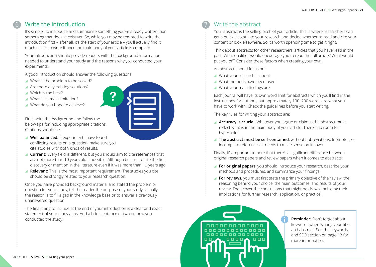## Write the introduction 6 Write the abstract

It's simpler to introduce and summarize something you've already written than something that doesn't exist yet. So, while you may be tempted to write the introduction first – after all, it's the start of your article – you'll actually find it much easier to write it once the main body of your article is complete.

Your introduction should provide readers with the background information needed to understand your study and the reasons why you conducted your experiments.

A good introduction should answer the following questions:

- What is the problem to be solved?
- $\blacktriangle$  Are there any existing solutions?
- Which is the best?
- What is its main limitation?
- What do you hope to achieve?

First, write the background and follow the below tips for including appropriate citations. Citations should be:

- **Well balanced:** If experiments have found conflicting results on a question, make sure you cite studies with both kinds of results.
- **Current:** Every field is different, but you should aim to cite references that are not more than 10 years old if possible. Although be sure to cite the first discovery or mention in the literature even if it was more than 10 years ago.
- **Relevant:** This is the most important requirement. The studies you cite should be strongly related to your research question.

Once you have provided background material and stated the problem or question for your study, tell the reader the purpose of your study. Usually, the reason is to fill a gap in the knowledge base or to answer a previously unanswered question.

The final thing to include at the end of your introduction is a clear and exact statement of your study aims. And a brief sentence or two on how you conducted the study.

7

Your abstract is the selling pitch of your article. This is where researchers can get a quick insight into your research and decide whether to read and cite your content or look elsewhere. So it's worth spending time to get it right.

Think about abstracts for other researchers' articles that you have read in the past. What qualities would encourage you to read the full article? What would put you off? Consider these factors when creating your own.

An abstract should focus on:

- What your research is about
- What methods have been used
- What your main findings are

Each journal will have its own word limit for abstracts which you'll find in the instructions for authors, but approximately 100–200 words are what you'll have to work with. Check the guidelines before you start writing.

The key rules for writing your abstract are:

- **Accuracy is crucial**. Whatever you argue or claim in the abstract must reflect what is in the main body of your article. There's no room for hyperbole.
- **The abstract must be self-contained**, without abbreviations, footnotes, or incomplete references. It needs to make sense on its own.

Finally, it's important to note that there's a significant difference between original research papers and review papers when it comes to abstracts:

- **For original papers**, you should introduce your research, describe your methods and procedures, and summarize your findings.
- **For reviews**, you must first state the primary objective of the review, the reasoning behind your choice, the main outcomes, and results of your review. Then cover the conclusions that might be drawn, including their implications for further research, application, or practice.



**Reminder:** Don't forget about keywords when writing your title and abstract. See the keywords and SEO section on page 13 for more information.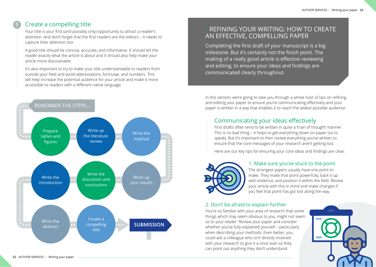## Create a compelling title

8

Your title is your first (and possibly only) opportunity to attract a reader's attention. And don't forget that the first readers are the editors – it needs to capture their attention too.

A good title should be concise, accurate, and informative. It should tell the reader exactly what the article is about and it should also help make your article more discoverable.

It's also important to try to make your title understandable to readers from outside your field and avoid abbreviations, formulae, and numbers. This will help increase the potential audience for your article and make it more accessible to readers with a different native language.



## / REFINING YOUR WRITING: HOW TO CREATE AN EFFECTIVE, COMPELLING PAPER

Completing the first draft of your manuscript is a big milestone. But it's certainly not the finish point. The making of a really good article is effective reviewing and editing, to ensure your ideas and findings are communicated clearly throughout.

In this section, we're going to take you through a whole host of tips on refining and editing your paper to ensure you're communicating effectively and your paper is written in a way that enables it to reach the widest possible audience.

## Communicating your ideas effectively

First drafts often tend to be written in quite a 'train of thought' manner. This is no bad thing – it helps to get everything down on paper (so to speak). But it's important to then review everything you've written to ensure that the core messages of your research aren't getting lost.

Here are our key tips for ensuring your core ideas and findings are clear:



### 1. Make sure you've stuck to the point

The strongest papers usually have one point to make. They make that point powerfully, back it up with evidence, and position it within the field. Review your article with this in mind and make changes if you feel that point has got lost along the way.

### 2. Don't be afraid to explain further

You're so familiar with your area of research that some things which may seem obvious to you, might not seem so to your reader. Review your paper and consider whether you've fully explained yourself – particularly when describing your methods. Even better, you could ask a colleague who isn't directly involved with your research to give it a once over so they can point out anything they don't understand.

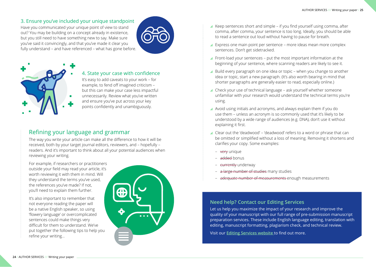### 3. Ensure you've included your unique standpoint

Have you communicated your unique point of view to stand out? You may be building on a concept already in existence, but you still need to have something new to say. Make sure you've said it convincingly, and that you've made it clear you fully understand – and have referenced – what has gone before.





### 4. State your case with confidence

It's easy to add caveats to your work – for example, to fend off imagined criticism – but this can make your case less impactful unnecessarily. Review what you've written and ensure you've put across your key points confidently and unambiguously.

### Refining your language and grammar

The way you write your article can make all the difference to how it will be received, both by your target journal editors, reviewers, and – hopefully – readers. And it's important to think about all your potential audiences when reviewing your writing.

For example, if researchers or practitioners outside your field may read your article, it's worth reviewing it with them in mind. Will they understand the terms you've used, the references you've made? If not, you'll need to explain them further.

It's also important to remember that not everyone reading the paper will be a native English speaker, so using 'flowery language' or overcomplicated sentences could make things very difficult for them to understand. We've put together the following tips to help you refine your writing…



- $\blacktriangle$  Keep sentences short and simple if you find yourself using comma, after comma, after comma, your sentence is too long. Ideally, you should be able to read a sentence out loud without having to pause for breath.
- ▲ Express one main point per sentence more ideas mean more complex sentences. Don't get sidetracked.
- Front-load your sentences put the most important information at the beginning of your sentence, where scanning readers are likely to see it.
- ▲ Build every paragraph on one idea or topic when you change to another idea or topic, start a new paragraph. (It's also worth bearing in mind that shorter paragraphs are generally easier to read, especially online.)
- ▲ Check your use of technical language ask yourself whether someone unfamiliar with your research would understand the technical terms you're using.
- A Avoid using initials and acronyms, and always explain them if you do use them – unless an acronym is so commonly used that it's likely to be understood by a wide range of audiences (e.g. DNA), don't use it without explaining it first.
- Clear out the 'deadwood' 'deadwood' refers to a word or phrase that can be omitted or simplified without a loss of meaning. Removing it shortens and clarifies your copy. Some examples:
	- very unique
	- added bonus
	- currently underway
	- a large number of studies many studies
	- adequate number of measurements enough measurements

### **Need help? Contact our Editing Services**

Let us help you maximize the impact of your research and improve the quality of your manuscript with our full range of pre-submission manuscript preparation services. These include English language editing, translation with editing, manuscript formatting, plagiarism check, and technical review.

Visit our **[Editing Services website](https://www.tandfeditingservices.com/)** to find out more.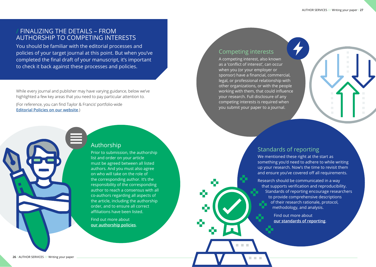## / FINALIZING THE DETAILS – FROM AUTHORSHIP TO COMPETING INTERESTS

You should be familiar with the editorial processes and policies of your target journal at this point. But when you've completed the final draft of your manuscript, it's important to check it back against these processes and policies.

While every journal and publisher may have varying guidance, below we've highlighted a few key areas that you need to pay particular attention to.

(For reference, you can find Taylor & Francis' portfolio-wide **[Editorial Policies on our website](https://authorservices.taylorandfrancis.com/editorial-policies/)**.)



Prior to submission, the authorship list and order on your article must be agreed between all listed authors. And you must also agree on who will take on the role of the corresponding author. It's the responsibility of the corresponding author to reach a consensus with all co-authors regarding all aspects of the article, including the authorship order, and to ensure all correct affiliations have been listed.

Find out more about **[our authorship policies](https://authorservices.taylorandfrancis.com/editorial-policies/defining-authorship-research-paper/)**.

### Competing interests

a.

Ō

A competing interest, also known as a 'conflict of interest', can occur when you (or your employer or sponsor) have a financial, commercial, legal, or professional relationship with other organizations, or with the people working with them, that could influence your research. Full disclosure of any competing interests is required when you submit your paper to a journal.



## Standards of reporting

We mentioned these right at the start as something you'd need to adhere to while writing up your research. Now's the time to revisit them and ensure you've covered off all requirements.

Research should be communicated in a way that supports verification and reproducibility. Standards of reporting encourage researchers to provide comprehensive descriptions of their research rationale, protocol, methodology, and analysis.

> Find out more about **[our standards of reporting](https://authorservices.taylorandfrancis.com/editorial-policies/standards-of-reporting/)**.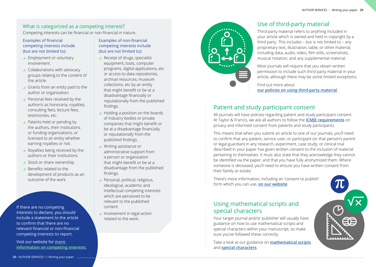### What is categorized as a competing interest?

Competing interests can be financial or non-financial in nature.

### Examples of financial competing interests include (but are not limited to):

- ▲ Employment or voluntary involvement.
- ▲ Collaborations with advocacy groups relating to the content of the article.
- Grants from an entity paid to the author or organization.
- Personal fees received by the author/s as honoraria, royalties, consulting fees, lecture fees, testimonies, etc.
- ▲ Patents held or pending by the authors, their institutions or funding organizations, or licensed to an entity whether earning royalties or not.
- ▲ Royalties being received by the authors or their institutions.
- Stock or share ownership.
- Benefits related to the development of products as an outcome of the work.

If there are no competing interests to declare, you should include a statement to the article to confirm that there are no relevant financial or non-financial competing interests to report.

Visit our website for **[more](https://authorservices.taylorandfrancis.com/editorial-policies/competing-interest/)  [information on competing interests](https://authorservices.taylorandfrancis.com/editorial-policies/competing-interest/)**.

Examples of non-financial competing interests include (but are not limited to):

- Receipt of drugs, specialist equipment, tools, computer programs, digital applications, etc or access to data repositories, archival resources, museum collections, etc by an entity that might benefit or be at a disadvantage financially or reputationally from the published findings.
- Holding a position on the boards of industry bodies or private companies that might benefit or be at a disadvantage financially or reputationally from the published findings.
- **Writing assistance or** administrative support from a person or organization that might benefit or be at a disadvantage from the published findings.
- **Personal, political, religious,** ideological, academic and intellectual competing interests which are perceived to be relevant to the published content.
- Involvement in legal action related to the work.



## Use of third-party material

Third-party material refers to anything included in your article which is owned and held in copyright by a third party. This includes – but is not limited to – any proprietary text, illustration, table, or other material, including data, audio, video, film stills, screenshots, musical notation, and any supplemental material.

Most journals will require that you obtain written permission to include such third-party material in your article, although there may be some limited exceptions.

Find out more about **[our policies on using third-party material](https://authorservices.taylorandfrancis.com/publishing-your-research/writing-your-paper/using-third-party-material/)**.

## Patient and study participant consent

All journals will have policies regarding patient and study participant consent. At Taylor & Francis, we ask all authors to follow the **[ICMJE requirements](https://authorservices.taylorandfrancis.com/editorial-policies/research-ethics-and-consent/)** on privacy and informed consent from patients and study participants.

This means that when you submit an article to one of our journals, you'll need to confirm that any patient, service user, or participant (or that person's parent or legal guardian) in any research, experiment, case study, or clinical trial described in your paper has given written consent to the inclusion of material pertaining to themselves. It must also state that they acknowledge they cannot be identified via the paper, and that you have fully anonymized them. Where someone is deceased, you'll need to ensure you have written consent from their family or estate.

There's more information, including an 'consent to publish' form which you can use, **[on our website](https://authorservices.taylorandfrancis.com/editorial-policies/research-ethics-and-consent/)**.

## Using mathematical scripts and special characters

Your target journal and/or publisher will usually have guidance on how to use mathematical scripts and special characters within your manuscript, so make sure you've followed these correctly.

Take a look at our guidance on **[mathematical scripts](https://authorservices.taylorandfrancis.com/publishing-your-research/writing-your-paper/mathematical-scripts/)** and **[special characters](https://authorservices.taylorandfrancis.com/publishing-your-research/writing-your-paper/using-special-characters/)**.

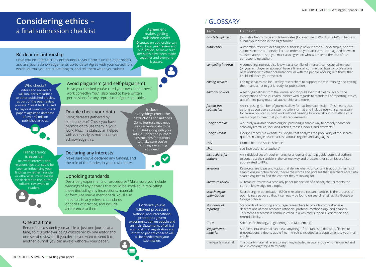## **Considering ethics –** a final submission checklist

### Be clear on authorship

Have you included all the contributors to your article (in the right order), and are your acknowledgements up-to-date? Agree with your co-authors which journal you are submitting to, and tell them when you submit.

Who checks? Editors and reviewers

will look for similarities to other published articles, as part of the peer review process. [CrossCheck](http://www.crossref.org/crosscheck/index.html) is used by Taylor & Francis to check papers against a database of over 40 million published articles.

**Transparency** is essential Relevant interests and relationships that could be seen as influencing your findings (whether financial or otherwise) must always be declared to the journal editors, reviewers or readers.

### Avoid plagiarism (and self-plagiarism) Have you checked you've cited your own, and others',

work correctly? You'll also need to have written permissions for any reproduced figures or tables.

### Double check your data

Using datasets gathered by someone else? Check you have permission to use them in your work. Plus, if a statistician helped with data analysis make sure you acknowledge this.

Declaring any interests

Make sure you've declared any funding, and the role of the funder, in your cover letter.

### Upholding standards

Describing experiments or procedures? Make sure you include warnings of any hazards that could be involved in replicating these (including any instructions, materials or formulae you've mentioned). You'll also need to cite any relevant standards or codes of practice, and include a reference to them.

### One at a time

Remember to submit your article to just one journal at a time, so it is only ever being considered by one editor and one set of reviewers. If you decide you want to send it to another journal, you can always withdraw your paper.

Evidence you've followed procedure National and international procedures govern experimentation on people and animals. Statements of ethical approval, trial registration and informed patient consent will all be needed with your submission.

Agreement makes getting published easier Disputes on authorship can slow down peer review and publication, so make sure decisions have been made together and everyone is aware.

Include everything: check the instructions for authors Some journals may need supplemental data to be submitted along with your article. Check the journal's instructions for authors to make sure you've including everything you need.

## / GLOSSARY

| Term                          | Definition                                                                                                                                                                                                                                                                                               |
|-------------------------------|----------------------------------------------------------------------------------------------------------------------------------------------------------------------------------------------------------------------------------------------------------------------------------------------------------|
|                               |                                                                                                                                                                                                                                                                                                          |
| article templates             | Journals often provide article templates (for example in Word or LaTeX) to help you<br>submit your article in the right format.                                                                                                                                                                          |
| authorship                    | Authorship refers to defining the authorship of your article. For example, prior to<br>submission, the authorship list and order on your article must be agreed between<br>all listed authors. And you must also agree on who will take on the role of the<br>corresponding author.                      |
| competing interests           | A competing interest, also known as a 'conflict of interest', can occur when you<br>(or your employer or sponsor) have a financial, commercial, legal, or professional<br>relationship with other organizations, or with the people working with them, that<br>could influence your research.            |
| editing services              | Editing services can be used by researchers to support them in refining and editing<br>their manuscript to get it ready for publication.                                                                                                                                                                 |
| editorial policies            | A set of guidelines from the journal and/or publisher that clearly lays out the<br>expectations of the journal/publisher with regards to standards of reporting, ethics,<br>use of third-party material, authorship, and more.                                                                           |
| format-free<br>submission     | An increasing number of journals allow format-free submission. This means that,<br>as long as you use a consistent citation format and include everything necessary<br>for review, you can submit work without needing to worry about formatting your<br>manuscript to meet that journal's requirements. |
| Google Scholar                | A publicly available search engine, providing a simple way to broadly search for<br>scholarly literature, including articles, theses, books, and abstracts.                                                                                                                                              |
| Google Trends                 | Google Trends is a website by Google that analyzes the popularity of top search<br>queries in Google Search across various regions and languages.                                                                                                                                                        |
| <b>HSS</b>                    | Humanities and Social Sciences                                                                                                                                                                                                                                                                           |
| <b>IFAs</b>                   | see 'instructions for authors'                                                                                                                                                                                                                                                                           |
| instructions for<br>authors   | An individual set of requirements for a journal that help guide potential authors<br>to construct their article in the correct way and prepare it for submission. Also<br>abbreviated to IFAs.                                                                                                           |
| keywords                      | Keywords are ideas and topics that define what your content is about. In terms of<br>search engine optimization, they're the words and phrases that searchers enter into<br>search engines to find the content they're looking for.                                                                      |
| literature review             | A literature review is a scholarly paper (or section of a paper) that presents the<br>current knowledge on a topic.                                                                                                                                                                                      |
| search engine<br>optimization | Search engine optimization (SEO) in relation to research articles is the process of<br>optimizing a paper so that it can easily be found on search engines like Google or<br>Google Scholar.                                                                                                             |
| standards of<br>reporting     | Standards of reporting encourage researchers to provide comprehensive<br>descriptions of their research rationale, protocol, methodology, and analysis.<br>This means research is communicated in a way that supports verification and<br>reproducibility.                                               |
| <b>STEM</b>                   | Science, Technology, Engineering, and Mathematics                                                                                                                                                                                                                                                        |
| supplemental<br>material      | Supplemental material can mean anything - from tables to datasets, filesets to<br>presentations, video to audio files - which is included as a supplement to your main<br>article.                                                                                                                       |
| third-party material          | Third-party material refers to anything included in your article which is owned and<br>held in copyright by a third party.                                                                                                                                                                               |